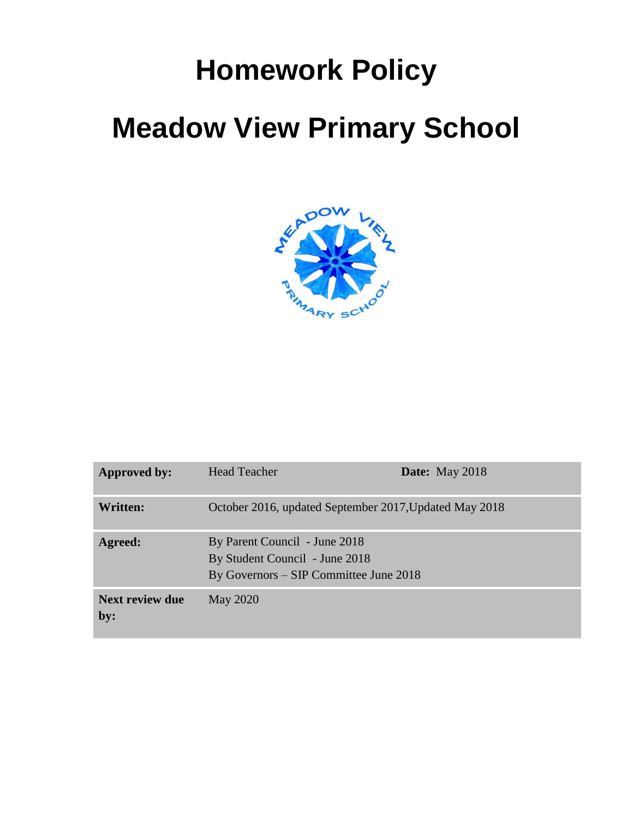# **Homework Policy**

# **Meadow View Primary School**



| Approved by:                  | <b>Head Teacher</b>                                                                                       | <b>Date:</b> May 2018 |
|-------------------------------|-----------------------------------------------------------------------------------------------------------|-----------------------|
| Written:                      | October 2016, updated September 2017, Updated May 2018                                                    |                       |
| <b>Agreed:</b>                | By Parent Council - June 2018<br>By Student Council - June 2018<br>By Governors – SIP Committee June 2018 |                       |
| <b>Next review due</b><br>by: | <b>May 2020</b>                                                                                           |                       |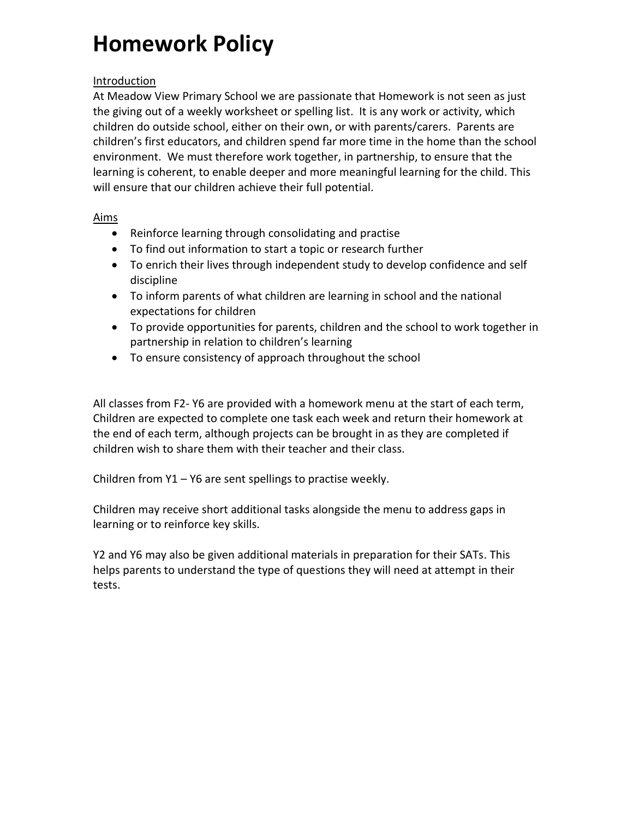# **Homework Policy**

#### Introduction

At Meadow View Primary School we are passionate that Homework is not seen as just the giving out of a weekly worksheet or spelling list. It is any work or activity, which children do outside school, either on their own, or with parents/carers. Parents are children's first educators, and children spend far more time in the home than the school environment. We must therefore work together, in partnership, to ensure that the learning is coherent, to enable deeper and more meaningful learning for the child. This will ensure that our children achieve their full potential.

#### Aims

- Reinforce learning through consolidating and practise
- To find out information to start a topic or research further
- To enrich their lives through independent study to develop confidence and self discipline
- To inform parents of what children are learning in school and the national expectations for children
- To provide opportunities for parents, children and the school to work together in partnership in relation to children's learning
- To ensure consistency of approach throughout the school

All classes from F2- Y6 are provided with a homework menu at the start of each term, Children are expected to complete one task each week and return their homework at the end of each term, although projects can be brought in as they are completed if children wish to share them with their teacher and their class.

Children from Y1 – Y6 are sent spellings to practise weekly.

Children may receive short additional tasks alongside the menu to address gaps in learning or to reinforce key skills.

Y2 and Y6 may also be given additional materials in preparation for their SATs. This helps parents to understand the type of questions they will need at attempt in their tests.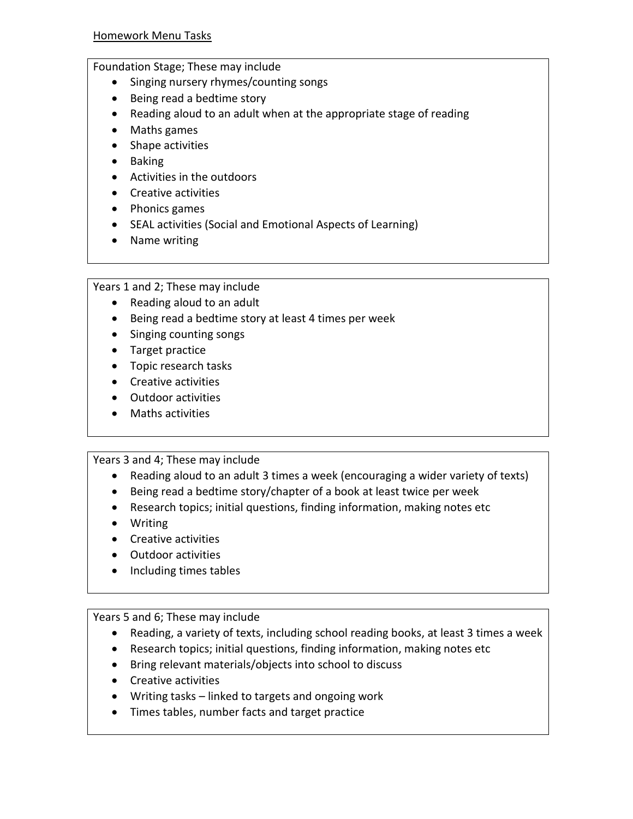#### Foundation Stage; These may include

- Singing nursery rhymes/counting songs
- Being read a bedtime story
- Reading aloud to an adult when at the appropriate stage of reading
- Maths games
- Shape activities
- Baking
- Activities in the outdoors
- Creative activities
- Phonics games
- SEAL activities (Social and Emotional Aspects of Learning)
- Name writing

Years 1 and 2; These may include

- Reading aloud to an adult
- Being read a bedtime story at least 4 times per week
- Singing counting songs
- Target practice
- Topic research tasks
- Creative activities
- Outdoor activities
- Maths activities

Years 3 and 4; These may include

- Reading aloud to an adult 3 times a week (encouraging a wider variety of texts)
- Being read a bedtime story/chapter of a book at least twice per week
- Research topics; initial questions, finding information, making notes etc
- Writing
- Creative activities
- Outdoor activities
- Including times tables

#### Years 5 and 6; These may include

- Reading, a variety of texts, including school reading books, at least 3 times a week
- Research topics; initial questions, finding information, making notes etc
- Bring relevant materials/objects into school to discuss
- Creative activities
- Writing tasks linked to targets and ongoing work
- Times tables, number facts and target practice